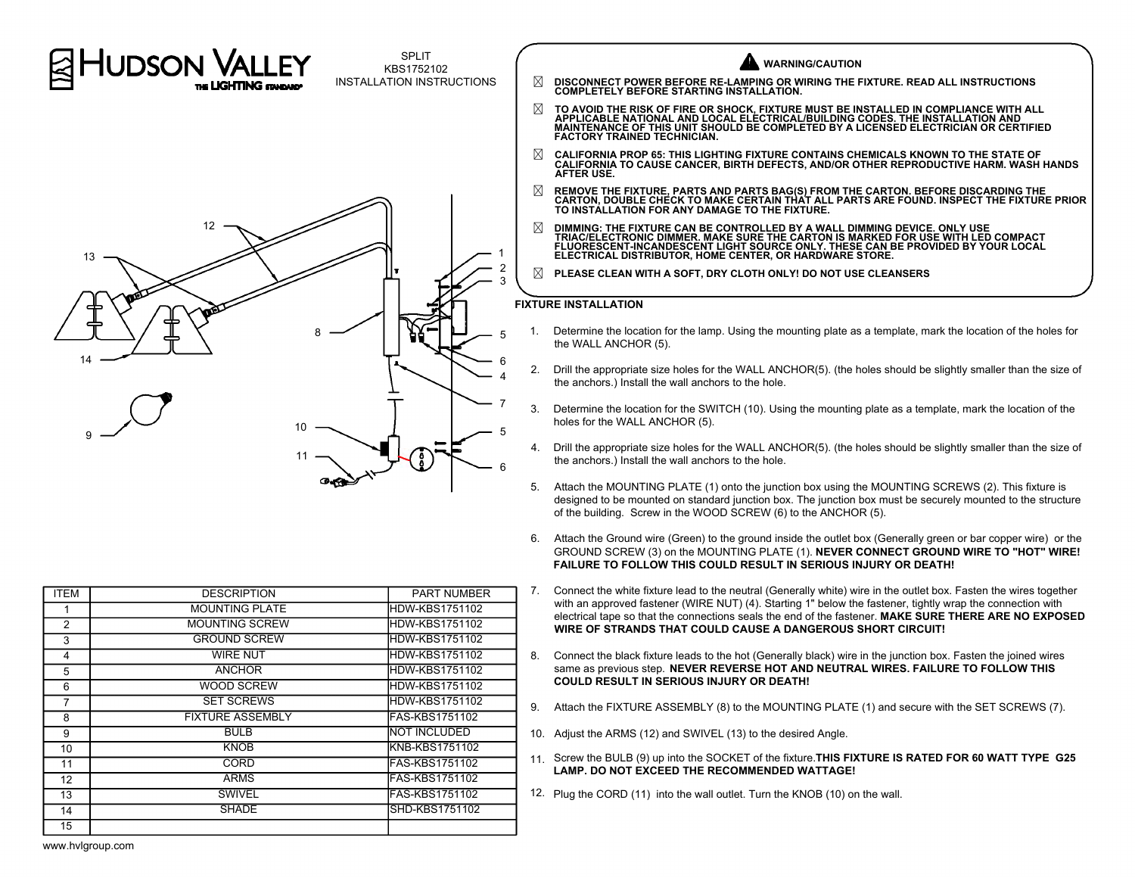

SPLIT KBS1752102 INSTALLATION INSTRUCTIONS



� **DISCONNECT POWER BEFORE RE-LAMPING OR WIRING THE FIXTURE. READ ALL INSTRUCTIONS COMPLETELY BEFORE STARTING INSTALLATION.** ⊠ TO AVOID THE RISK OF FIRE OR SHOCK, FIXTURE MUST BE INSTALLED IN COMPLIANCE WITH ALL<br>APPLICABLE NATIONAL AND LOCAL ELECTRICAL/BUILDING CODES. THE INSTALLATION AND<br>MAINTENANCE OF THIS UNIT SHOULD BE COMPLETED BY A LICENS **FACTORY TRAINED TECHNICIAN.**

� **CALIFORNIA PROP 65: THIS LIGHTING FIXTURE CONTAINS CHEMICALS KNOWN TO THE STATE OF CALIFORNIA TO CAUSE CANCER, BIRTH DEFECTS, AND/OR OTHER REPRODUCTIVE HARM. WASH HANDS AFTER USE.**

**WARNING/CAUTION**

- � **REMOVE THE FIXTURE, PARTS AND PARTS BAG(S) FROM THE CARTON. BEFORE DISCARDING THE CARTON, DOUBLE CHECK TO MAKE CERTAIN THAT ALL PARTS ARE FOUND. INSPECT THE FIXTURE PRIOR TO INSTALLATION FOR ANY DAMAGE TO THE FIXTURE.**
- ⊠ DIMMING: THE FIXTURE CAN BE CONTROLLED BY A WALL DIMMING DEVICE. ONLY USE<br>TRIAC/ELECTRONIC DIMMER. MAKE SURE THE CARTON IS MARKED FOR USE WITH LED COMPACT<br>FLUORESCENT-INCANDESCENT LIGHT SOURCE ONLY. THESE CAN BE PROVIDE **ELECTRICAL DISTRIBUTOR, HOME CENTER, OR HARDWARE STORE.**
- � **PLEASE CLEAN WITH A SOFT, DRY CLOTH ONLY! DO NOT USE CLEANSERS**

## **FIXTURE INSTALLATION**

- 1. Determine the location for the lamp. Using the mounting plate as a template, mark the location of the holes for the WALL ANCHOR (5).
- 2. Drill the appropriate size holes for the WALL ANCHOR(5). (the holes should be slightly smaller than the size of the anchors.) Install the wall anchors to the hole.
- 3. Determine the location for the SWITCH (10). Using the mounting plate as a template, mark the location of the holes for the WALL ANCHOR (5).
- 4. Drill the appropriate size holes for the WALL ANCHOR(5). (the holes should be slightly smaller than the size of the anchors.) Install the wall anchors to the hole.
- 5. Attach the MOUNTING PLATE (1) onto the junction box using the MOUNTING SCREWS (2). This fixture is designed to be mounted on standard junction box. The junction box must be securely mounted to the structure of the building. Screw in the WOOD SCREW (6) to the ANCHOR (5).
- 6. Attach the Ground wire (Green) to the ground inside the outlet box (Generally green or bar copper wire) or the GROUND SCREW (3) on the MOUNTING PLATE (1). **NEVER CONNECT GROUND WIRE TO "HOT" WIRE! FAILURE TO FOLLOW THIS COULD RESULT IN SERIOUS INJURY OR DEATH!**
- 7. Connect the white fixture lead to the neutral (Generally white) wire in the outlet box. Fasten the wires together with an approved fastener (WIRE NUT) (4). Starting 1" below the fastener, tightly wrap the connection with electrical tape so that the connections seals the end of the fastener. **MAKE SURE THERE ARE NO EXPOSED WIRE OF STRANDS THAT COULD CAUSE A DANGEROUS SHORT CIRCUIT!**
- 8. Connect the black fixture leads to the hot (Generally black) wire in the junction box. Fasten the joined wires same as previous step. **NEVER REVERSE HOT AND NEUTRAL WIRES. FAILURE TO FOLLOW THIS COULD RESULT IN SERIOUS INJURY OR DEATH!**
- 9. Attach the FIXTURE ASSEMBLY (8) to the MOUNTING PLATE (1) and secure with the SET SCREWS (7).
- 10. Adjust the ARMS (12) and SWIVEL (13) to the desired Angle.
- 11. Screw the BULB (9) up into the SOCKET of the fixture.**THIS FIXTURE IS RATED FOR 60 WATT TYPE G25 LAMP. DO NOT EXCEED THE RECOMMENDED WATTAGE!**
- 12. Plug the CORD (11) into the wall outlet. Turn the KNOB (10) on the wall.

| <b>ITEM</b>     | <b>DESCRIPTION</b>      | <b>PART NUMBER</b>    |
|-----------------|-------------------------|-----------------------|
| 1               | <b>MOUNTING PLATE</b>   | HDW-KBS1751102        |
| 2               | <b>MOUNTING SCREW</b>   | HDW-KBS1751102        |
| 3               | <b>GROUND SCREW</b>     | HDW-KBS1751102        |
| 4               | <b>WIRE NUT</b>         | HDW-KBS1751102        |
| 5               | <b>ANCHOR</b>           | HDW-KBS1751102        |
| 6               | <b>WOOD SCREW</b>       | HDW-KBS1751102        |
| 7               | <b>SET SCREWS</b>       | HDW-KBS1751102        |
| 8               | <b>FIXTURE ASSEMBLY</b> | FAS-KBS1751102        |
| 9               | <b>BULB</b>             | <b>NOT INCLUDED</b>   |
| 10              | <b>KNOB</b>             | KNB-KBS1751102        |
| 11              | <b>CORD</b>             | FAS-KBS1751102        |
| 12 <sup>2</sup> | <b>ARMS</b>             | FAS-KBS1751102        |
| 13              | <b>SWIVEL</b>           | <b>FAS-KBS1751102</b> |
| 14              | <b>SHADE</b>            | SHD-KBS1751102        |
| 15              |                         |                       |